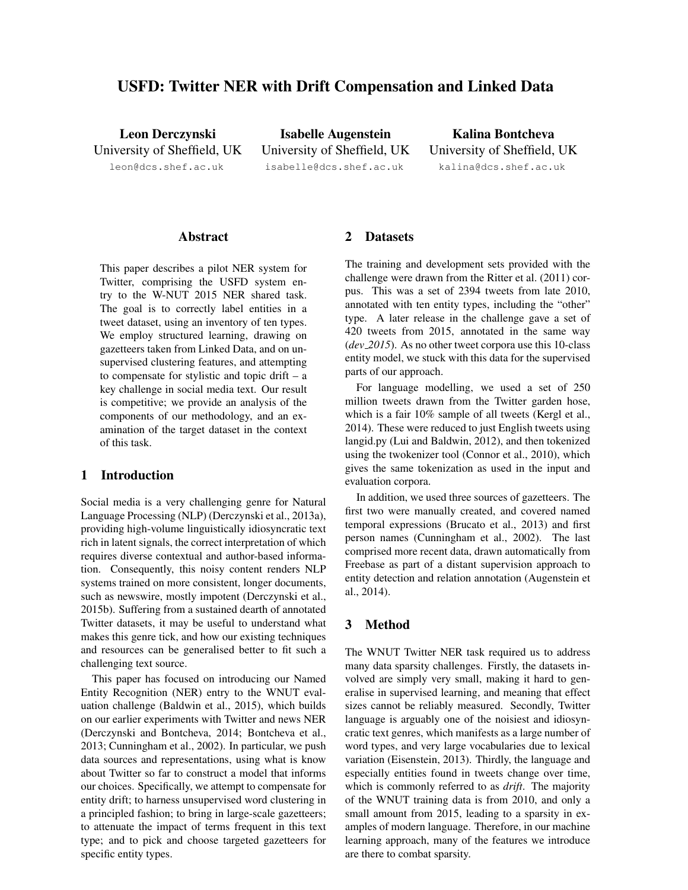# USFD: Twitter NER with Drift Compensation and Linked Data

Leon Derczynski University of Sheffield, UK leon@dcs.shef.ac.uk

Isabelle Augenstein University of Sheffield, UK isabelle@dcs.shef.ac.uk

Kalina Bontcheva University of Sheffield, UK kalina@dcs.shef.ac.uk

### Abstract

This paper describes a pilot NER system for Twitter, comprising the USFD system entry to the W-NUT 2015 NER shared task. The goal is to correctly label entities in a tweet dataset, using an inventory of ten types. We employ structured learning, drawing on gazetteers taken from Linked Data, and on unsupervised clustering features, and attempting to compensate for stylistic and topic drift  $-$  a key challenge in social media text. Our result is competitive; we provide an analysis of the components of our methodology, and an examination of the target dataset in the context of this task.

## 1 Introduction

Social media is a very challenging genre for Natural Language Processing (NLP) (Derczynski et al., 2013a), providing high-volume linguistically idiosyncratic text rich in latent signals, the correct interpretation of which requires diverse contextual and author-based information. Consequently, this noisy content renders NLP systems trained on more consistent, longer documents, such as newswire, mostly impotent (Derczynski et al., 2015b). Suffering from a sustained dearth of annotated Twitter datasets, it may be useful to understand what makes this genre tick, and how our existing techniques and resources can be generalised better to fit such a challenging text source.

This paper has focused on introducing our Named Entity Recognition (NER) entry to the WNUT evaluation challenge (Baldwin et al., 2015), which builds on our earlier experiments with Twitter and news NER (Derczynski and Bontcheva, 2014; Bontcheva et al., 2013; Cunningham et al., 2002). In particular, we push data sources and representations, using what is know about Twitter so far to construct a model that informs our choices. Specifically, we attempt to compensate for entity drift; to harness unsupervised word clustering in a principled fashion; to bring in large-scale gazetteers; to attenuate the impact of terms frequent in this text type; and to pick and choose targeted gazetteers for specific entity types.

### 2 Datasets

The training and development sets provided with the challenge were drawn from the Ritter et al. (2011) corpus. This was a set of 2394 tweets from late 2010, annotated with ten entity types, including the "other" type. A later release in the challenge gave a set of 420 tweets from 2015, annotated in the same way (*dev 2015*). As no other tweet corpora use this 10-class entity model, we stuck with this data for the supervised parts of our approach.

For language modelling, we used a set of 250 million tweets drawn from the Twitter garden hose, which is a fair 10% sample of all tweets (Kergl et al., 2014). These were reduced to just English tweets using langid.py (Lui and Baldwin, 2012), and then tokenized using the twokenizer tool (Connor et al., 2010), which gives the same tokenization as used in the input and evaluation corpora.

In addition, we used three sources of gazetteers. The first two were manually created, and covered named temporal expressions (Brucato et al., 2013) and first person names (Cunningham et al., 2002). The last comprised more recent data, drawn automatically from Freebase as part of a distant supervision approach to entity detection and relation annotation (Augenstein et al., 2014).

## 3 Method

The WNUT Twitter NER task required us to address many data sparsity challenges. Firstly, the datasets involved are simply very small, making it hard to generalise in supervised learning, and meaning that effect sizes cannot be reliably measured. Secondly, Twitter language is arguably one of the noisiest and idiosyncratic text genres, which manifests as a large number of word types, and very large vocabularies due to lexical variation (Eisenstein, 2013). Thirdly, the language and especially entities found in tweets change over time, which is commonly referred to as *drift*. The majority of the WNUT training data is from 2010, and only a small amount from 2015, leading to a sparsity in examples of modern language. Therefore, in our machine learning approach, many of the features we introduce are there to combat sparsity.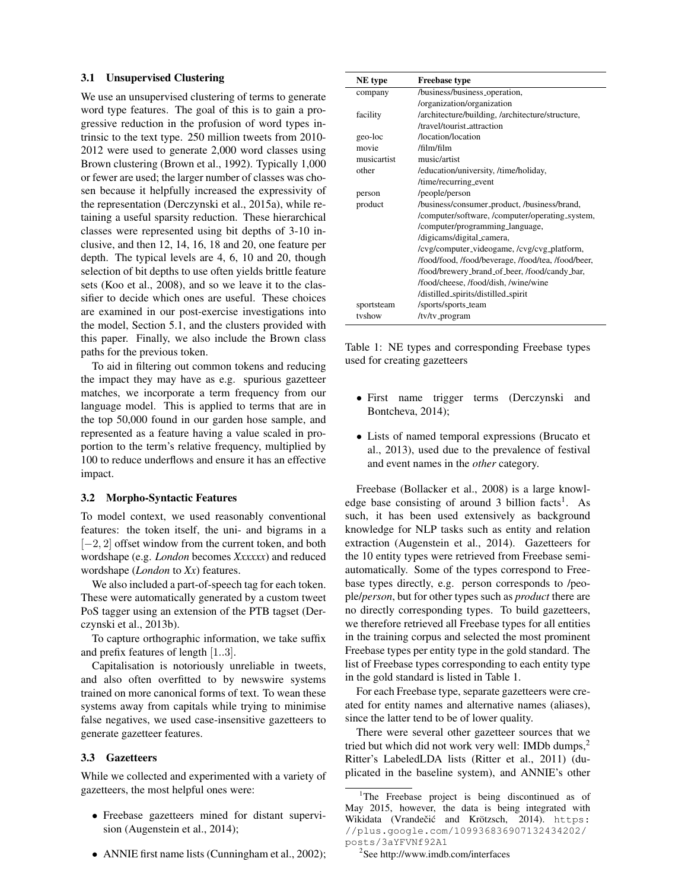#### 3.1 Unsupervised Clustering

We use an unsupervised clustering of terms to generate word type features. The goal of this is to gain a progressive reduction in the profusion of word types intrinsic to the text type. 250 million tweets from 2010- 2012 were used to generate 2,000 word classes using Brown clustering (Brown et al., 1992). Typically 1,000 or fewer are used; the larger number of classes was chosen because it helpfully increased the expressivity of the representation (Derczynski et al., 2015a), while retaining a useful sparsity reduction. These hierarchical classes were represented using bit depths of 3-10 inclusive, and then 12, 14, 16, 18 and 20, one feature per depth. The typical levels are 4, 6, 10 and 20, though selection of bit depths to use often yields brittle feature sets (Koo et al., 2008), and so we leave it to the classifier to decide which ones are useful. These choices are examined in our post-exercise investigations into the model, Section 5.1, and the clusters provided with this paper. Finally, we also include the Brown class paths for the previous token.

To aid in filtering out common tokens and reducing the impact they may have as e.g. spurious gazetteer matches, we incorporate a term frequency from our language model. This is applied to terms that are in the top 50,000 found in our garden hose sample, and represented as a feature having a value scaled in proportion to the term's relative frequency, multiplied by 100 to reduce underflows and ensure it has an effective impact.

#### 3.2 Morpho-Syntactic Features

To model context, we used reasonably conventional features: the token itself, the uni- and bigrams in a [−2, 2] offset window from the current token, and both wordshape (e.g. *London* becomes *Xxxxxx*) and reduced wordshape (*London* to *Xx*) features.

We also included a part-of-speech tag for each token. These were automatically generated by a custom tweet PoS tagger using an extension of the PTB tagset (Derczynski et al., 2013b).

To capture orthographic information, we take suffix and prefix features of length [1..3].

Capitalisation is notoriously unreliable in tweets, and also often overfitted to by newswire systems trained on more canonical forms of text. To wean these systems away from capitals while trying to minimise false negatives, we used case-insensitive gazetteers to generate gazetteer features.

### 3.3 Gazetteers

While we collected and experimented with a variety of gazetteers, the most helpful ones were:

- Freebase gazetteers mined for distant supervision (Augenstein et al., 2014);
- ANNIE first name lists (Cunningham et al., 2002);

| NE type     | <b>Freebase type</b>                               |  |  |
|-------------|----------------------------------------------------|--|--|
| company     | /business/business_operation,                      |  |  |
|             | /organization/organization                         |  |  |
| facility    | /architecture/building, /architecture/structure,   |  |  |
|             | /travel/tourist_attraction                         |  |  |
| geo-loc     | /location/location                                 |  |  |
| movie       | /film/film                                         |  |  |
| musicartist | music/artist                                       |  |  |
| other       | /education/university, /time/holiday,              |  |  |
|             | /time/recurring_event                              |  |  |
| person      | /people/person                                     |  |  |
| product     | /business/consumer_product, /business/brand,       |  |  |
|             | /computer/software, /computer/operating_system,    |  |  |
|             | /computer/programming_language,                    |  |  |
|             | /digicams/digital_camera,                          |  |  |
|             | /cvg/computer_videogame, /cvg/cvg_platform,        |  |  |
|             | /food/food, /food/beverage, /food/tea, /food/beer, |  |  |
|             | /food/brewery_brand_of_beer, /food/candy_bar,      |  |  |
|             | /food/cheese, /food/dish, /wine/wine               |  |  |
|             | /distilled_spirits/distilled_spirit                |  |  |
| sportsteam  | /sports/sports_team                                |  |  |
| tyshow      | /tv/tv_program                                     |  |  |

Table 1: NE types and corresponding Freebase types used for creating gazetteers

- First name trigger terms (Derczynski and Bontcheva, 2014);
- Lists of named temporal expressions (Brucato et al., 2013), used due to the prevalence of festival and event names in the *other* category.

Freebase (Bollacker et al., 2008) is a large knowledge base consisting of around 3 billion facts<sup>1</sup>. As such, it has been used extensively as background knowledge for NLP tasks such as entity and relation extraction (Augenstein et al., 2014). Gazetteers for the 10 entity types were retrieved from Freebase semiautomatically. Some of the types correspond to Freebase types directly, e.g. person corresponds to /people/*person*, but for other types such as *product* there are no directly corresponding types. To build gazetteers, we therefore retrieved all Freebase types for all entities in the training corpus and selected the most prominent Freebase types per entity type in the gold standard. The list of Freebase types corresponding to each entity type in the gold standard is listed in Table 1.

For each Freebase type, separate gazetteers were created for entity names and alternative names (aliases), since the latter tend to be of lower quality.

There were several other gazetteer sources that we tried but which did not work very well: IMDb dumps,<sup>2</sup> Ritter's LabeledLDA lists (Ritter et al., 2011) (duplicated in the baseline system), and ANNIE's other

<sup>2</sup>See http://www.imdb.com/interfaces

<sup>&</sup>lt;sup>1</sup>The Freebase project is being discontinued as of May 2015, however, the data is being integrated with Wikidata (Vrandečić and Krötzsch, 2014). https: //plus.google.com/109936836907132434202/ posts/3aYFVNf92A1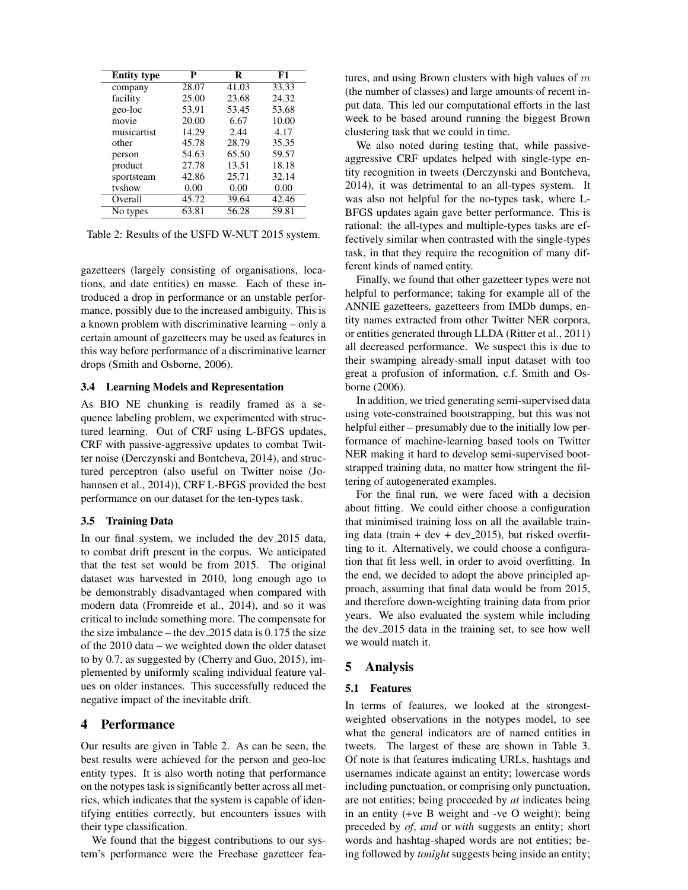| <b>Entity type</b> | P     | R     | F1    |
|--------------------|-------|-------|-------|
| company            | 28.07 | 41.03 | 33.33 |
| facility           | 25.00 | 23.68 | 24.32 |
| geo-loc            | 53.91 | 53.45 | 53.68 |
| movie              | 20.00 | 6.67  | 10.00 |
| musicartist        | 14.29 | 2.44  | 4.17  |
| other              | 45.78 | 28.79 | 35.35 |
| person             | 54.63 | 65.50 | 59.57 |
| product            | 27.78 | 13.51 | 18.18 |
| sportsteam         | 42.86 | 25.71 | 32.14 |
| tvshow             | 0.00  | 0.00  | 0.00  |
| Overall            | 45.72 | 39.64 | 42.46 |
| No types           | 63.81 | 56.28 | 59.81 |

Table 2: Results of the USFD W-NUT 2015 system.

gazetteers (largely consisting of organisations, locations, and date entities) en masse. Each of these introduced a drop in performance or an unstable performance, possibly due to the increased ambiguity. This is a known problem with discriminative learning – only a certain amount of gazetteers may be used as features in this way before performance of a discriminative learner drops (Smith and Osborne, 2006).

#### 3.4 Learning Models and Representation

As BIO NE chunking is readily framed as a sequence labeling problem, we experimented with structured learning. Out of CRF using L-BFGS updates, CRF with passive-aggressive updates to combat Twitter noise (Derczynski and Bontcheva, 2014), and structured perceptron (also useful on Twitter noise (Johannsen et al., 2014)), CRF L-BFGS provided the best performance on our dataset for the ten-types task.

#### 3.5 Training Data

In our final system, we included the dev 2015 data, to combat drift present in the corpus. We anticipated that the test set would be from 2015. The original dataset was harvested in 2010, long enough ago to be demonstrably disadvantaged when compared with modern data (Fromreide et al., 2014), and so it was critical to include something more. The compensate for the size imbalance – the dev 2015 data is 0.175 the size of the 2010 data – we weighted down the older dataset to by 0.7, as suggested by (Cherry and Guo, 2015), implemented by uniformly scaling individual feature values on older instances. This successfully reduced the negative impact of the inevitable drift.

## 4 Performance

Our results are given in Table 2. As can be seen, the best results were achieved for the person and geo-loc entity types. It is also worth noting that performance on the notypes task is significantly better across all metrics, which indicates that the system is capable of identifying entities correctly, but encounters issues with their type classification.

We found that the biggest contributions to our system's performance were the Freebase gazetteer features, and using Brown clusters with high values of  $m$ (the number of classes) and large amounts of recent input data. This led our computational efforts in the last week to be based around running the biggest Brown clustering task that we could in time.

We also noted during testing that, while passiveaggressive CRF updates helped with single-type entity recognition in tweets (Derczynski and Bontcheva, 2014), it was detrimental to an all-types system. It was also not helpful for the no-types task, where L-BFGS updates again gave better performance. This is rational: the all-types and multiple-types tasks are effectively similar when contrasted with the single-types task, in that they require the recognition of many different kinds of named entity.

Finally, we found that other gazetteer types were not helpful to performance; taking for example all of the ANNIE gazetteers, gazetteers from IMDb dumps, entity names extracted from other Twitter NER corpora, or entities generated through LLDA (Ritter et al., 2011) all decreased performance. We suspect this is due to their swamping already-small input dataset with too great a profusion of information, c.f. Smith and Osborne (2006).

In addition, we tried generating semi-supervised data using vote-constrained bootstrapping, but this was not helpful either – presumably due to the initially low performance of machine-learning based tools on Twitter NER making it hard to develop semi-supervised bootstrapped training data, no matter how stringent the filtering of autogenerated examples.

For the final run, we were faced with a decision about fitting. We could either choose a configuration that minimised training loss on all the available training data (train + dev + dev  $-2015$ ), but risked overfitting to it. Alternatively, we could choose a configuration that fit less well, in order to avoid overfitting. In the end, we decided to adopt the above principled approach, assuming that final data would be from 2015, and therefore down-weighting training data from prior years. We also evaluated the system while including the dev 2015 data in the training set, to see how well we would match it.

### 5 Analysis

#### 5.1 Features

In terms of features, we looked at the strongestweighted observations in the notypes model, to see what the general indicators are of named entities in tweets. The largest of these are shown in Table 3. Of note is that features indicating URLs, hashtags and usernames indicate against an entity; lowercase words including punctuation, or comprising only punctuation, are not entities; being proceeded by *at* indicates being in an entity (+ve B weight and -ve O weight); being preceded by *of*, *and* or *with* suggests an entity; short words and hashtag-shaped words are not entities; being followed by *tonight* suggests being inside an entity;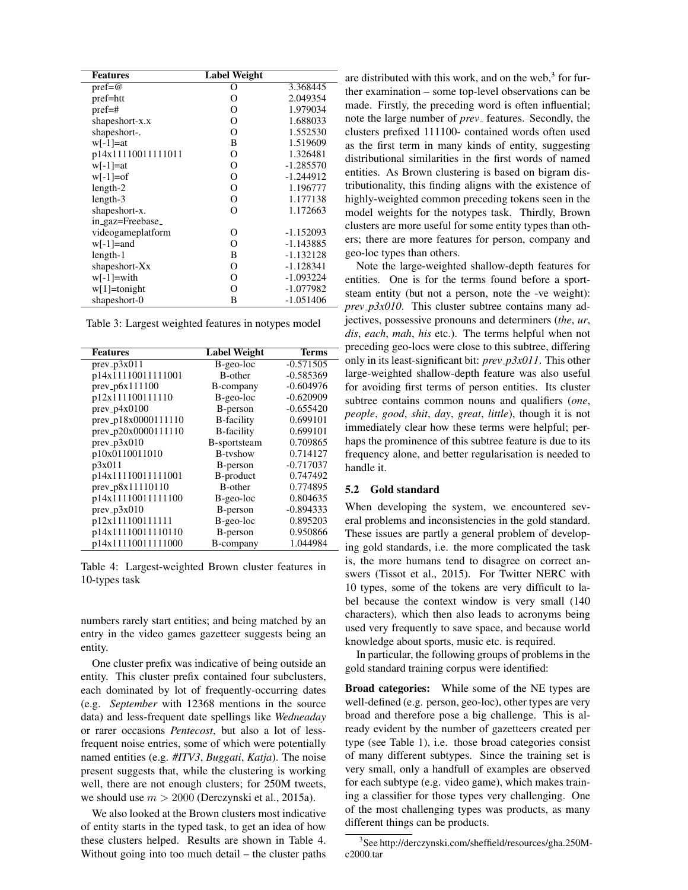| <b>Features</b>    | Label Weight |             |
|--------------------|--------------|-------------|
| $pref = @$         | О            | 3.368445    |
| pref=htt           | О            | 2.049354    |
| $pref=\#$          | О            | 1.979034    |
| shapeshort-x.x     | O            | 1.688033    |
| shapeshort-.       | O            | 1.552530    |
| $w[-1]=at$         | B            | 1.519609    |
| p14x11110011111011 | O            | 1.326481    |
| $w[-1]=at$         | о            | $-1.285570$ |
| $w[-1]=of$         | O            | $-1.244912$ |
| $length-2$         | 0            | 1.196777    |
| $length-3$         | 0            | 1.177138    |
| shapeshort-x.      | O            | 1.172663    |
| in_gaz=Freebase_   |              |             |
| videogameplatform  | О            | $-1.152093$ |
| $w[-1] =$ and      | O            | $-1.143885$ |
| length-1           | B            | $-1.132128$ |
| shapeshort-Xx      | О            | $-1.128341$ |
| $w[-1] = with$     | О            | $-1.093224$ |
| $w[1] =$ tonight   | O            | $-1.077982$ |
| shapeshort-0       | B            | $-1.051406$ |

Table 3: Largest weighted features in notypes model

| <b>Features</b>     | <b>Label Weight</b> | <b>Terms</b> |
|---------------------|---------------------|--------------|
| $prev_p3x011$       | B-geo-loc           | $-0.571505$  |
| p14x11110011111001  | <b>B-other</b>      | $-0.585369$  |
| prev_p6x111100      | B-company           | $-0.604976$  |
| p12x111100111110    | B-geo-loc           | $-0.620909$  |
| $prev_p4x0100$      | B-person            | $-0.655420$  |
| prev_p18x0000111110 | <b>B</b> -facility  | 0.699101     |
| prev_p20x0000111110 | <b>B</b> -facility  | 0.699101     |
| $prev_p3x010$       | B-sportsteam        | 0.709865     |
| p10x0110011010      | B-tyshow            | 0.714127     |
| p3x011              | B-person            | $-0.717037$  |
| p14x11110011111001  | B-product           | 0.747492     |
| prev_p8x11110110    | B-other             | 0.774895     |
| p14x11110011111100  | B-geo-loc           | 0.804635     |
| $prev_p3x010$       | B-person            | $-0.894333$  |
| p12x111100111111    | B-geo-loc           | 0.895203     |
| p14x11110011110110  | B-person            | 0.950866     |
| p14x11110011111000  | B-company           | 1.044984     |

Table 4: Largest-weighted Brown cluster features in 10-types task

numbers rarely start entities; and being matched by an entry in the video games gazetteer suggests being an entity.

One cluster prefix was indicative of being outside an entity. This cluster prefix contained four subclusters, each dominated by lot of frequently-occurring dates (e.g. *September* with 12368 mentions in the source data) and less-frequent date spellings like *Wedneaday* or rarer occasions *Pentecost*, but also a lot of lessfrequent noise entries, some of which were potentially named entities (e.g. *#ITV3*, *Buggati*, *Katja*). The noise present suggests that, while the clustering is working well, there are not enough clusters; for 250M tweets, we should use  $m > 2000$  (Derczynski et al., 2015a).

We also looked at the Brown clusters most indicative of entity starts in the typed task, to get an idea of how these clusters helped. Results are shown in Table 4. Without going into too much detail – the cluster paths

are distributed with this work, and on the web, $3$  for further examination – some top-level observations can be made. Firstly, the preceding word is often influential; note the large number of *prev* features. Secondly, the clusters prefixed 111100- contained words often used as the first term in many kinds of entity, suggesting distributional similarities in the first words of named entities. As Brown clustering is based on bigram distributionality, this finding aligns with the existence of highly-weighted common preceding tokens seen in the model weights for the notypes task. Thirdly, Brown clusters are more useful for some entity types than others; there are more features for person, company and geo-loc types than others.

Note the large-weighted shallow-depth features for entities. One is for the terms found before a sportsteam entity (but not a person, note the -ve weight): *prev p3x010*. This cluster subtree contains many adjectives, possessive pronouns and determiners (*the*, *ur*, *dis*, *each*, *mah*, *his* etc.). The terms helpful when not preceding geo-locs were close to this subtree, differing only in its least-significant bit: *prev p3x011*. This other large-weighted shallow-depth feature was also useful for avoiding first terms of person entities. Its cluster subtree contains common nouns and qualifiers (*one*, *people*, *good*, *shit*, *day*, *great*, *little*), though it is not immediately clear how these terms were helpful; perhaps the prominence of this subtree feature is due to its frequency alone, and better regularisation is needed to handle it.

### 5.2 Gold standard

When developing the system, we encountered several problems and inconsistencies in the gold standard. These issues are partly a general problem of developing gold standards, i.e. the more complicated the task is, the more humans tend to disagree on correct answers (Tissot et al., 2015). For Twitter NERC with 10 types, some of the tokens are very difficult to label because the context window is very small (140 characters), which then also leads to acronyms being used very frequently to save space, and because world knowledge about sports, music etc. is required.

In particular, the following groups of problems in the gold standard training corpus were identified:

Broad categories: While some of the NE types are well-defined (e.g. person, geo-loc), other types are very broad and therefore pose a big challenge. This is already evident by the number of gazetteers created per type (see Table 1), i.e. those broad categories consist of many different subtypes. Since the training set is very small, only a handfull of examples are observed for each subtype (e.g. video game), which makes training a classifier for those types very challenging. One of the most challenging types was products, as many different things can be products.

<sup>3</sup> See http://derczynski.com/sheffield/resources/gha.250Mc2000.tar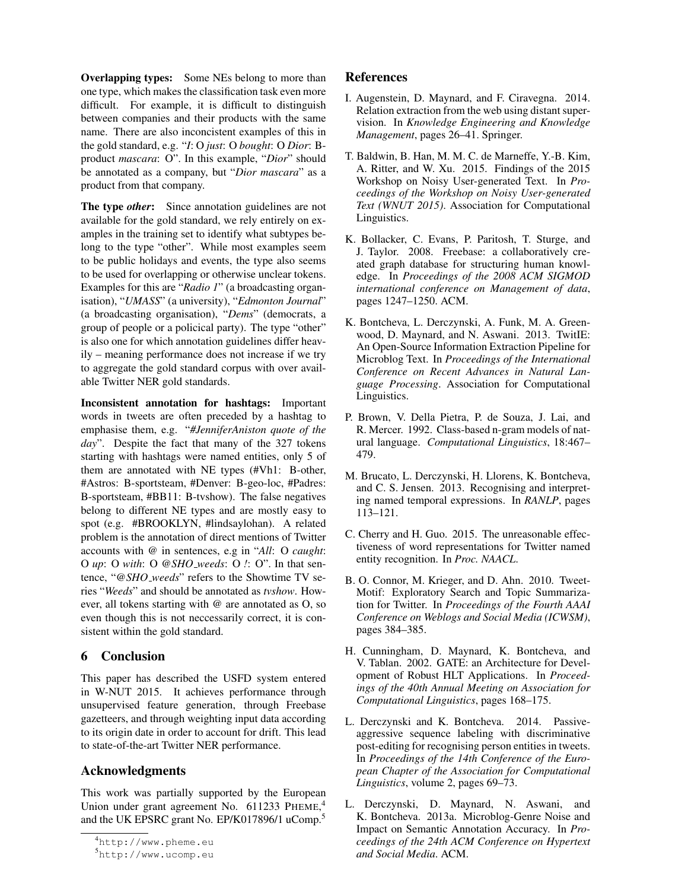Overlapping types: Some NEs belong to more than one type, which makes the classification task even more difficult. For example, it is difficult to distinguish between companies and their products with the same name. There are also inconcistent examples of this in the gold standard, e.g. "*I*: O *just*: O *bought*: O *Dior*: Bproduct *mascara*: O". In this example, "*Dior*" should be annotated as a company, but "*Dior mascara*" as a product from that company.

The type *other*: Since annotation guidelines are not available for the gold standard, we rely entirely on examples in the training set to identify what subtypes belong to the type "other". While most examples seem to be public holidays and events, the type also seems to be used for overlapping or otherwise unclear tokens. Examples for this are "*Radio 1*" (a broadcasting organisation), "*UMASS*" (a university), "*Edmonton Journal*" (a broadcasting organisation), "*Dems*" (democrats, a group of people or a policical party). The type "other" is also one for which annotation guidelines differ heavily – meaning performance does not increase if we try to aggregate the gold standard corpus with over available Twitter NER gold standards.

Inconsistent annotation for hashtags: Important words in tweets are often preceded by a hashtag to emphasise them, e.g. "*#JenniferAniston quote of the day*". Despite the fact that many of the 327 tokens starting with hashtags were named entities, only 5 of them are annotated with NE types (#Vh1: B-other, #Astros: B-sportsteam, #Denver: B-geo-loc, #Padres: B-sportsteam, #BB11: B-tvshow). The false negatives belong to different NE types and are mostly easy to spot (e.g. #BROOKLYN, #lindsaylohan). A related problem is the annotation of direct mentions of Twitter accounts with @ in sentences, e.g in "*All*: O *caught*: O *up*: O *with*: O *@SHO weeds*: O *!*: O". In that sentence, "*@SHO weeds*" refers to the Showtime TV series "*Weeds*" and should be annotated as *tvshow*. However, all tokens starting with @ are annotated as O, so even though this is not neccessarily correct, it is consistent within the gold standard.

## 6 Conclusion

This paper has described the USFD system entered in W-NUT 2015. It achieves performance through unsupervised feature generation, through Freebase gazetteers, and through weighting input data according to its origin date in order to account for drift. This lead to state-of-the-art Twitter NER performance.

# Acknowledgments

This work was partially supported by the European Union under grant agreement No. 611233 PHEME,<sup>4</sup> and the UK EPSRC grant No. EP/K017896/1 uComp.<sup>5</sup>

## References

- I. Augenstein, D. Maynard, and F. Ciravegna. 2014. Relation extraction from the web using distant supervision. In *Knowledge Engineering and Knowledge Management*, pages 26–41. Springer.
- T. Baldwin, B. Han, M. M. C. de Marneffe, Y.-B. Kim, A. Ritter, and W. Xu. 2015. Findings of the 2015 Workshop on Noisy User-generated Text. In *Proceedings of the Workshop on Noisy User-generated Text (WNUT 2015)*. Association for Computational Linguistics.
- K. Bollacker, C. Evans, P. Paritosh, T. Sturge, and J. Taylor. 2008. Freebase: a collaboratively created graph database for structuring human knowledge. In *Proceedings of the 2008 ACM SIGMOD international conference on Management of data*, pages 1247–1250. ACM.
- K. Bontcheva, L. Derczynski, A. Funk, M. A. Greenwood, D. Maynard, and N. Aswani. 2013. TwitIE: An Open-Source Information Extraction Pipeline for Microblog Text. In *Proceedings of the International Conference on Recent Advances in Natural Language Processing*. Association for Computational Linguistics.
- P. Brown, V. Della Pietra, P. de Souza, J. Lai, and R. Mercer. 1992. Class-based n-gram models of natural language. *Computational Linguistics*, 18:467– 479.
- M. Brucato, L. Derczynski, H. Llorens, K. Bontcheva, and C. S. Jensen. 2013. Recognising and interpreting named temporal expressions. In *RANLP*, pages 113–121.
- C. Cherry and H. Guo. 2015. The unreasonable effectiveness of word representations for Twitter named entity recognition. In *Proc. NAACL*.
- B. O. Connor, M. Krieger, and D. Ahn. 2010. Tweet-Motif: Exploratory Search and Topic Summarization for Twitter. In *Proceedings of the Fourth AAAI Conference on Weblogs and Social Media (ICWSM)*, pages 384–385.
- H. Cunningham, D. Maynard, K. Bontcheva, and V. Tablan. 2002. GATE: an Architecture for Development of Robust HLT Applications. In *Proceedings of the 40th Annual Meeting on Association for Computational Linguistics*, pages 168–175.
- L. Derczynski and K. Bontcheva. 2014. Passiveaggressive sequence labeling with discriminative post-editing for recognising person entities in tweets. In *Proceedings of the 14th Conference of the European Chapter of the Association for Computational Linguistics*, volume 2, pages 69–73.
- L. Derczynski, D. Maynard, N. Aswani, and K. Bontcheva. 2013a. Microblog-Genre Noise and Impact on Semantic Annotation Accuracy. In *Proceedings of the 24th ACM Conference on Hypertext and Social Media*. ACM.

<sup>4</sup>http://www.pheme.eu

<sup>5</sup>http://www.ucomp.eu